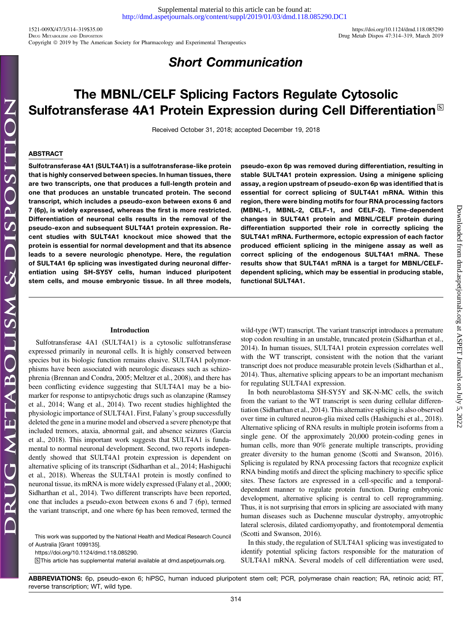# Short Communication

# The MBNL/CELF Splicing Factors Regulate Cytosolic Sulfotransferase 4A1 Protein Expression during Cell Differentiation  $\mathbb{S}$

Received October 31, 2018; accepted December 19, 2018

# ABSTRACT

Sulfotransferase 4A1 (SULT4A1) is a sulfotransferase-like protein that is highly conserved between species. In human tissues, there are two transcripts, one that produces a full-length protein and one that produces an unstable truncated protein. The second transcript, which includes a pseudo-exon between exons 6 and 7 (6p), is widely expressed, whereas the first is more restricted. Differentiation of neuronal cells results in the removal of the pseudo-exon and subsequent SULT4A1 protein expression. Recent studies with SULT4A1 knockout mice showed that the protein is essential for normal development and that its absence leads to a severe neurologic phenotype. Here, the regulation of SULT4A1 6p splicing was investigated during neuronal differentiation using SH-SY5Y cells, human induced pluripotent stem cells, and mouse embryonic tissue. In all three models, pseudo-exon 6p was removed during differentiation, resulting in stable SULT4A1 protein expression. Using a minigene splicing assay, a region upstream of pseudo-exon 6p was identified that is essential for correct splicing of SULT4A1 mRNA. Within this region, there were binding motifs for four RNA processing factors (MBNL-1, MBNL-2, CELF-1, and CELF-2). Time-dependent changes in SULT4A1 protein and MBNL/CELF protein during differentiation supported their role in correctly splicing the SULT4A1 mRNA. Furthermore, ectopic expression of each factor produced efficient splicing in the minigene assay as well as correct splicing of the endogenous SULT4A1 mRNA. These results show that SULT4A1 mRNA is a target for MBNL/CELFdependent splicing, which may be essential in producing stable, functional SULT4A1.

#### Introduction

Sulfotransferase 4A1 (SULT4A1) is a cytosolic sulfotransferase expressed primarily in neuronal cells. It is highly conserved between species but its biologic function remains elusive. SULT4A1 polymorphisms have been associated with neurologic diseases such as schizophrenia (Brennan and Condra, 2005; Meltzer et al., 2008), and there has been conflicting evidence suggesting that SULT4A1 may be a biomarker for response to antipsychotic drugs such as olanzapine (Ramsey et al., 2014; Wang et al., 2014). Two recent studies highlighted the physiologic importance of SULT4A1. First, Falany's group successfully deleted the gene in a murine model and observed a severe phenotype that included tremors, ataxia, abnormal gait, and absence seizures (Garcia et al., 2018). This important work suggests that SULT4A1 is fundamental to normal neuronal development. Second, two reports independently showed that SULT4A1 protein expression is dependent on alternative splicing of its transcript (Sidharthan et al., 2014; Hashiguchi et al., 2018). Whereas the SULT4A1 protein is mostly confined to neuronal tissue, its mRNA is more widely expressed (Falany et al., 2000; Sidharthan et al., 2014). Two different transcripts have been reported, one that includes a pseudo-exon between exons 6 and 7 (6p), termed the variant transcript, and one where 6p has been removed, termed the

This work was supported by the National Health and Medical Research Council of Australia [Grant 1099135].

<https://doi.org/10.1124/dmd.118.085290>.

S This article has supplemental material available at [dmd.aspetjournals.org.](http://dmd.aspetjournals.org)

wild-type (WT) transcript. The variant transcript introduces a premature stop codon resulting in an unstable, truncated protein (Sidharthan et al., 2014). In human tissues, SULT4A1 protein expression correlates well with the WT transcript, consistent with the notion that the variant transcript does not produce measurable protein levels (Sidharthan et al., 2014). Thus, alternative splicing appears to be an important mechanism for regulating SULT4A1 expression.

Downloaded from [dmd.aspetjournals.org](http://dmd.aspetjournals.org/) at ASPET Journals on July 5, 2022

Downloaded from dmd.aspetjournals.org at ASPET Journals on July 5, 2022

In both neuroblastoma SH-SY5Y and SK-N-MC cells, the switch from the variant to the WT transcript is seen during cellular differentiation (Sidharthan et al., 2014). This alternative splicing is also observed over time in cultured neuron-glia mixed cells (Hashiguchi et al., 2018). Alternative splicing of RNA results in multiple protein isoforms from a single gene. Of the approximately 20,000 protein-coding genes in human cells, more than 90% generate multiple transcripts, providing greater diversity to the human genome (Scotti and Swanson, 2016). Splicing is regulated by RNA processing factors that recognize explicit RNA binding motifs and direct the splicing machinery to specific splice sites. These factors are expressed in a cell-specific and a temporaldependent manner to regulate protein function. During embryonic development, alternative splicing is central to cell reprogramming. Thus, it is not surprising that errors in splicing are associated with many human diseases such as Duchenne muscular dystrophy, amyotrophic lateral sclerosis, dilated cardiomyopathy, and frontotemporal dementia (Scotti and Swanson, 2016).

In this study, the regulation of SULT4A1 splicing was investigated to identify potential splicing factors responsible for the maturation of SULT4A1 mRNA. Several models of cell differentiation were used,

ABBREVIATIONS: 6p, pseudo-exon 6; hiPSC, human induced pluripotent stem cell; PCR, polymerase chain reaction; RA, retinoic acid; RT, reverse transcription; WT, wild type.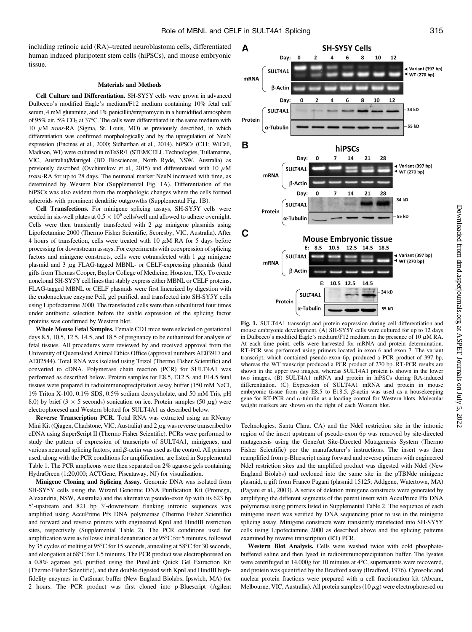including retinoic acid (RA)–treated neuroblastoma cells, differentiated human induced pluripotent stem cells (hiPSCs), and mouse embryonic tissue.

### Materials and Methods

Cell Culture and Differentiation. SH-SY5Y cells were grown in advanced Dulbecco's modified Eagle's medium/F12 medium containing 10% fetal calf serum, 4 mM glutamine, and 1% penicillin/streptomycin in a humidified atmosphere of 95% air,  $5\%$  CO<sub>2</sub> at 37°C. The cells were differentiated in the same medium with 10  $\mu$ M trans-RA (Sigma, St. Louis, MO) as previously described, in which differentiation was confirmed morphologically and by the upregulation of NeuN expression (Encinas et al., 2000; Sidharthan et al., 2014). hiPSCs (C11; WiCell, Madison, WI) were cultured in mTeSR/1 (STEMCELL Technologies, Tullamarine, VIC, Australia)/Matrigel (BD Biosciences, North Ryde, NSW, Australia) as previously described (Ovchinnikov et al., 2015) and differentiated with 10  $\mu$ M trans-RA for up to 28 days. The neuronal marker NeuN increased with time, as determined by Western blot [\(Supplemental Fig. 1A\)](http://dmd.aspetjournals.org/lookup/suppl/doi:10.1124/dmd.118.085290/-/DC1). Differentiation of the hiPSCs was also evident from the morphologic changes where the cells formed spheroids with prominent dendritic outgrowths [\(Supplemental Fig. 1B\)](http://dmd.aspetjournals.org/lookup/suppl/doi:10.1124/dmd.118.085290/-/DC1).

Cell Transfections. For minigene splicing assays, SH-SY5Y cells were seeded in six-well plates at  $0.5 \times 10^6$  cells/well and allowed to adhere overnight. Cells were then transiently transfected with  $2 \mu g$  minigene plasmids using Lipofectamine 2000 (Thermo Fisher Scientific, Scoresby, VIC, Australia). After 4 hours of transfection, cells were treated with 10  $\mu$ M RA for 5 days before processing for downstream assays. For experiments with coexpression of splicing factors and minigene constructs, cells were cotransfected with  $1 \mu$ g minigene plasmid and  $3 \mu$ g FLAG-tagged MBNL- or CELF-expressing plasmids (kind gifts from Thomas Cooper, Baylor College of Medicine, Houston, TX). To create nonclonal SH-SY5Y cell lines that stably express either MBNL or CELF proteins, FLAG-tagged MBNL or CELF plasmids were first linearized by digestion with the endonuclease enzyme PciI, gel purified, and transfected into SH-SY5Y cells using Lipofectamine 2000. The transfected cells were then subcultured four times under antibiotic selection before the stable expression of the splicing factor proteins was confirmed by Western blot.

Whole Mouse Fetal Samples. Female CD1 mice were selected on gestational days 8.5, 10.5, 12.5, 14.5, and 18.5 of pregnancy to be euthanized for analysis of fetal tissues. All procedures were reviewed by and received approval from the University of Queensland Animal Ethics Office (approval numbers AE03917 and AE02544). Total RNA was isolated using Trizol (Thermo Fisher Scientific) and converted to cDNA. Polymerase chain reaction (PCR) for SULT4A1 was performed as described below. Protein samples for E8.5, E12.5, and E14.5 fetal tissues were prepared in radioimmunoprecipitation assay buffer (150 mM NaCl, 1% Triton X-100, 0.1% SDS, 0.5% sodium deoxycholate, and 50 mM Tris, pH 8.0) by brief (3  $\times$  5 seconds) sonication on ice. Protein samples (50  $\mu$ g) were electrophoresed and Western blotted for SULT4A1 as described below.

Reverse Transcription PCR. Total RNA was extracted using an RNeasy Mini Kit (Qiagen, Chadstone, VIC, Australia) and  $2 \mu$ g was reverse transcribed to cDNA using SuperScript II (Thermo Fisher Scientific). PCRs were performed to study the pattern of expression of transcripts of SULT4A1, minigenes, and various neuronal splicing factors, and  $\beta$ -actin was used as the control. All primers used, along with the PCR conditions for amplification, are listed in [Supplemental](http://dmd.aspetjournals.org/lookup/suppl/doi:10.1124/dmd.118.085290/-/DC1) [Table 1](http://dmd.aspetjournals.org/lookup/suppl/doi:10.1124/dmd.118.085290/-/DC1). The PCR amplicons were then separated on 2% agarose gels containing HydraGreen (1:20,000; ACTGene, Piscataway, NJ) for visualization.

Minigene Cloning and Splicing Assay. Genomic DNA was isolated from SH-SY5Y cells using the Wizard Genomic DNA Purification Kit (Promega, Alexandria, NSW, Australia) and the alternative pseudo-exon 6p with its 623 bp 5'-upstream and 821 bp 3'-downstream flanking intronic sequences was amplified using AccuPrime Pfx DNA polymerase (Thermo Fisher Scientific) and forward and reverse primers with engineered KpnI and HindIII restriction sites, respectively ([Supplemental Table 2\)](http://dmd.aspetjournals.org/lookup/suppl/doi:10.1124/dmd.118.085290/-/DC1). The PCR conditions used for amplification were as follows: initial denaturation at 95°C for 5 minutes, followed by 35 cycles of melting at 95°C for 15 seconds, annealing at 58°C for 30 seconds, and elongation at 68°C for 1.5 minutes. The PCR product was electrophoresed on a 0.8% agarose gel, purified using the PureLink Quick Gel Extraction Kit (Thermo Fisher Scientific), and then double digested with KpnI and HindIII highfidelity enzymes in CutSmart buffer (New England Biolabs, Ipswich, MA) for 2 hours. The PCR product was first cloned into p-Bluescript (Agilent



Fig. 1. SULT4A1 transcript and protein expression during cell differentiation and mouse embryonic development. (A) SH-SY5Y cells were cultured for up to 12 days in Dulbecco's modified Eagle's medium/F12 medium in the presence of 10  $\mu$ M RA. At each time point, cells were harvested for mRNA and protein determination. RT-PCR was performed using primers located in exon 6 and exon 7. The variant transcript, which contained pseudo-exon 6p, produced a PCR product of 397 bp, whereas the WT transcript produced a PCR product of 270 bp. RT-PCR results are shown in the upper two images, whereas SULT4A1 protein is shown in the lower two images. (B) SULT4A1 mRNA and protein in hiPSCs during RA-induced differentiation. (C) Expression of SULT4A1 mRNA and protein in mouse embryonic tissue from day E8.5 to E18.5.  $\beta$ -actin was used as a housekeeping gene for RT-PCR and  $\alpha$ -tubulin as a loading control for Western blots. Molecular weight markers are shown on the right of each Western blot.

Technologies, Santa Clara, CA) and the NdeI restriction site in the intronic region of the insert upstream of pseudo-exon 6p was removed by site-directed mutagenesis using the GeneArt Site-Directed Mutagenesis System (Thermo Fisher Scientific) per the manufacturer's instructions. The insert was then reamplified from p-Bluescript using forward and reverse primers with engineered NdeI restriction sites and the amplified product was digested with NdeI (New England Biolabs) and recloned into the same site in the pTBNde minigene plasmid, a gift from Franco Pagani (plasmid 15125; Addgene, Watertown, MA) (Pagani et al., 2003). A series of deletion minigene constructs were generated by amplifying the different segments of the parent insert with AccuPrime Pfx DNA polymerase using primers listed in [Supplemental Table 2](http://dmd.aspetjournals.org/lookup/suppl/doi:10.1124/dmd.118.085290/-/DC1). The sequence of each minigene insert was verified by DNA sequencing prior to use in the minigene splicing assay. Minigene constructs were transiently transfected into SH-SY5Y cells using Lipofectamine 2000 as described above and the splicing patterns examined by reverse transcription (RT) PCR.

Western Blot Analysis. Cells were washed twice with cold phosphatebuffered saline and then lysed in radioimmunoprecipitation buffer. The lysates were centrifuged at  $14,000g$  for 10 minutes at  $4^{\circ}$ C, supernatants were recovered, and protein was quantified by the Bradford assay (Bradford, 1976). Cytosolic and nuclear protein fractions were prepared with a cell fractionation kit (Abcam, Melbourne, VIC, Australia). All protein samples (10  $\mu$ g) were electrophoresed on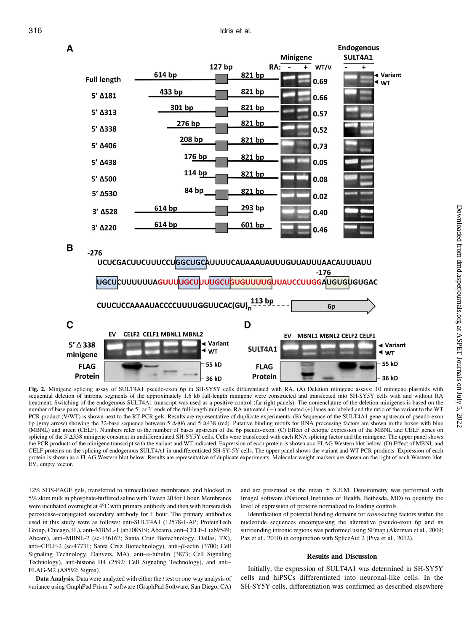

Fig. 2. Minigene splicing assay of SULT4A1 pseudo-exon 6p in SH-SY5Y cells differentiated with RA. (A) Deletion minigene assays: 10 minigene plasmids with sequential deletion of intronic segments of the approximately 1.6 kb full-length minigene were constructed and transfected into SH-SY5Y cells with and without RA treatment. Switching of the endogenous SULT4A1 transcript was used as a positive control (far right panels). The nomenclature of the deletion minigenes is based on the number of base pairs deleted from either the 5' or 3' ends of the full-length minigene. RA untreated (-) and treated (+) lanes are labeled and the ratio of the variant to the WT PCR product (V/WT) is shown next to the RT-PCR gels. Results are representative of duplicate experiments. (B) Sequence of the SULT4A1 gene upstream of pseudo-exon 6p (gray arrow) showing the 32-base sequence between  $5'\Delta 406$  and  $5'\Delta 438$  (red). Putative binding motifs for RNA processing factors are shown in the boxes with blue (MBNL) and green (CELF). Numbers refer to the number of bases upstream of the 6p pseudo-exon. (C) Effect of ectopic expression of the MBNL and CELF genes on splicing of the  $5'$   $\Delta$ 338 minigene construct in undifferentiated SH-SY5Y cells. Cells were transfected with each RNA splicing factor and the minigene. The upper panel shows the PCR products of the minigene transcript with the variant and WT indicated. Expression of each protein is shown as a FLAG Western blot below. (D) Effect of MBNL and CELF proteins on the splicing of endogenous SULT4A1 in undifferentiated SH-SY-5Y cells. The upper panel shows the variant and WT PCR products. Expression of each protein is shown as a FLAG Western blot below. Results are representative of duplicate experiments. Molecular weight markers are shown on the right of each Western blot. EV, empty vector.

12% SDS-PAGE gels, transferred to nitrocellulose membranes, and blocked in 5% skim milk in phosphate-buffered saline with Tween 20 for 1 hour. Membranes were incubated overnight at 4°C with primary antibody and then with horseradish peroxidase–conjugated secondary antibody for 1 hour. The primary antibodies used in this study were as follows: anti-SULT4A1 (12578-1-AP; ProteinTech Group, Chicago, IL), anti–MBNL-1 (ab108519; Abcam), anti–CELF-1 (ab9549; Abcam), anti–MBNL-2 (sc-136167; Santa Cruz Biotechnology, Dallas, TX), anti-CELF-2 (sc-47731; Santa Cruz Biotechnology), anti- $\beta$ -actin (3700; Cell Signaling Technology, Danvers, MA), anti- $\alpha$ -tubulin (3873; Cell Signaling Technology), anti-histone H4 (2592; Cell Signaling Technology), and anti– FLAG-M2 (A8592; Sigma).

Data Analysis. Data were analyzed with either the *t* test or one-way analysis of variance using GraphPad Prism 7 software (GraphPad Software, San Diego, CA)

and are presented as the mean  $\pm$  S.E.M. Densitometry was performed with ImageJ software (National Institutes of Health, Bethesda, MD) to quantify the level of expression of proteins normalized to loading controls.

Identification of potential binding domains for trans-acting factors within the nucleotide sequences encompassing the alternative pseudo-exon 6p and its surrounding intronic regions was performed using SFmap (Akerman et al., 2009; Paz et al., 2010) in conjunction with SpliceAid 2 (Piva et al., 2012).

## Results and Discussion

Initially, the expression of SULT4A1 was determined in SH-SY5Y cells and hiPSCs differentiated into neuronal-like cells. In the SH-SY5Y cells, differentiation was confirmed as described elsewhere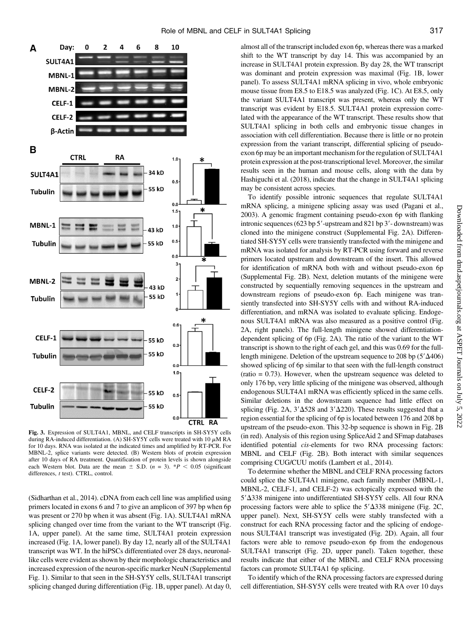

Fig. 3. Expression of SULT4A1, MBNL, and CELF transcripts in SH-SY5Y cells during RA-induced differentiation. (A) SH-SY5Y cells were treated with 10  $\mu$ M RA for 10 days. RNA was isolated at the indicated times and amplified by RT-PCR. For MBNL-2, splice variants were detected. (B) Western blots of protein expression after 10 days of RA treatment. Quantification of protein levels is shown alongside each Western blot. Data are the mean  $\pm$  S.D. (n = 3). \*P < 0.05 (significant differences, t test). CTRL, control.

(Sidharthan et al., 2014). cDNA from each cell line was amplified using primers located in exons 6 and 7 to give an amplicon of 397 bp when 6p was present or 270 bp when it was absent (Fig. 1A). SULT4A1 mRNA splicing changed over time from the variant to the WT transcript (Fig. 1A, upper panel). At the same time, SULT4A1 protein expression increased (Fig. 1A, lower panel). By day 12, nearly all of the SULT4A1 transcript was WT. In the hiPSCs differentiated over 28 days, neuronallike cells were evident as shown by their morphologic characteristics and increased expression of the neuron-specific marker NeuN [\(Supplemental](http://dmd.aspetjournals.org/lookup/suppl/doi:10.1124/dmd.118.085290/-/DC1) [Fig. 1](http://dmd.aspetjournals.org/lookup/suppl/doi:10.1124/dmd.118.085290/-/DC1)). Similar to that seen in the SH-SY5Y cells, SULT4A1 transcript splicing changed during differentiation (Fig. 1B, upper panel). At day 0,

almost all of the transcript included exon 6p, whereas there was a marked shift to the WT transcript by day 14. This was accompanied by an increase in SULT4A1 protein expression. By day 28, the WT transcript was dominant and protein expression was maximal (Fig. 1B, lower panel). To assess SULT4A1 mRNA splicing in vivo, whole embryonic mouse tissue from E8.5 to E18.5 was analyzed (Fig. 1C). At E8.5, only the variant SULT4A1 transcript was present, whereas only the WT transcript was evident by E18.5. SULT4A1 protein expression correlated with the appearance of the WT transcript. These results show that SULT4A1 splicing in both cells and embryonic tissue changes in association with cell differentiation. Because there is little or no protein expression from the variant transcript, differential splicing of pseudoexon 6p may be an important mechanism for the regulation of SULT4A1 protein expression at the post-transcriptional level. Moreover, the similar results seen in the human and mouse cells, along with the data by Hashiguchi et al. (2018), indicate that the change in SULT4A1 splicing may be consistent across species.

To identify possible intronic sequences that regulate SULT4A1 mRNA splicing, a minigene splicing assay was used (Pagani et al., 2003). A genomic fragment containing pseudo-exon 6p with flanking intronic sequences (623 bp  $5'$ -upstream and 821 bp  $3'$ -downstream) was cloned into the minigene construct ([Supplemental Fig. 2A](http://dmd.aspetjournals.org/lookup/suppl/doi:10.1124/dmd.118.085290/-/DC1)). Differentiated SH-SY5Y cells were transiently transfected with the minigene and mRNA was isolated for analysis by RT-PCR using forward and reverse primers located upstream and downstream of the insert. This allowed for identification of mRNA both with and without pseudo-exon 6p [\(Supplemental Fig. 2B](http://dmd.aspetjournals.org/lookup/suppl/doi:10.1124/dmd.118.085290/-/DC1)). Next, deletion mutants of the minigene were constructed by sequentially removing sequences in the upstream and downstream regions of pseudo-exon 6p. Each minigene was transiently transfected into SH-SY5Y cells with and without RA-induced differentiation, and mRNA was isolated to evaluate splicing. Endogenous SULT4A1 mRNA was also measured as a positive control (Fig. 2A, right panels). The full-length minigene showed differentiationdependent splicing of 6p (Fig. 2A). The ratio of the variant to the WT transcript is shown to the right of each gel, and this was 0.69 for the fulllength minigene. Deletion of the upstream sequence to 208 bp  $(5'\Delta406)$ showed splicing of 6p similar to that seen with the full-length construct (ratio = 0.73). However, when the upstream sequence was deleted to only 176 bp, very little splicing of the minigene was observed, although endogenous SULT4A1 mRNA was efficiently spliced in the same cells. Similar deletions in the downstream sequence had little effect on splicing (Fig. 2A,  $3'\Delta528$  and  $3'\Delta220$ ). These results suggested that a region essential for the splicing of 6p is located between 176 and 208 bp upstream of the pseudo-exon. This 32-bp sequence is shown in Fig. 2B (in red). Analysis of this region using SpliceAid 2 and SFmap databases identified potential cis-elements for two RNA processing factors: MBNL and CELF (Fig. 2B). Both interact with similar sequences comprising CUG/CUU motifs (Lambert et al., 2014).

To determine whether the MBNL and CELF RNA processing factors could splice the SULT4A1 minigene, each family member (MBNL-1, MBNL-2, CELF-1, and CELF-2) was ectopically expressed with the 5'  $\Delta$ 338 minigene into undifferentiated SH-SY5Y cells. All four RNA processing factors were able to splice the  $5'$  $\Delta$ 338 minigene (Fig. 2C, upper panel). Next, SH-SY5Y cells were stably transfected with a construct for each RNA processing factor and the splicing of endogenous SULT4A1 transcript was investigated (Fig. 2D). Again, all four factors were able to remove pseudo-exon 6p from the endogenous SULT4A1 transcript (Fig. 2D, upper panel). Taken together, these results indicate that either of the MBNL and CELF RNA processing factors can promote SULT4A1 6p splicing.

To identify which of the RNA processing factors are expressed during cell differentiation, SH-SY5Y cells were treated with RA over 10 days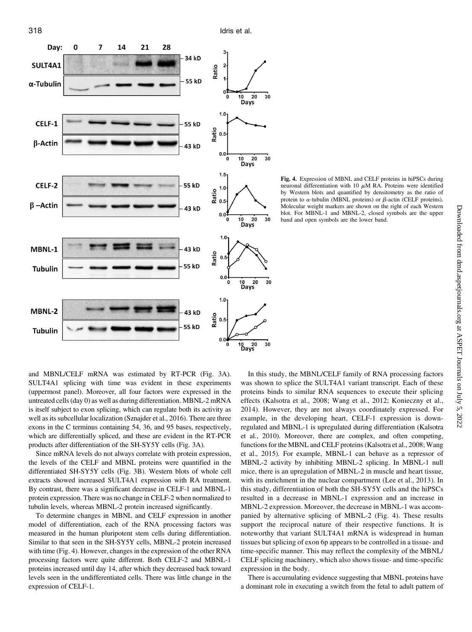

Fig. 4. Expression of MBNL and CELF proteins in hiPSCs during neuronal differentiation with 10  $\mu$ M RA. Proteins were identified by Western blots and quantified by densitometry as the ratio of protein to  $\alpha$ -tubulin (MBNL proteins) or  $\beta$ -actin (CELF proteins). Molecular weight markers are shown on the right of each Western blot. For MBNL-1 and MBNL-2, closed symbols are the upper band and open symbols are the lower band.

and MBNL/CELF mRNA was estimated by RT-PCR (Fig. 3A). SULT4A1 splicing with time was evident in these experiments (uppermost panel). Moreover, all four factors were expressed in the untreated cells (day 0) as well as during differentiation. MBNL-2 mRNA is itself subject to exon splicing, which can regulate both its activity as well as its subcellular localization (Sznajder et al., 2016). There are three exons in the C terminus containing 54, 36, and 95 bases, respectively, which are differentially spliced, and these are evident in the RT-PCR products after differentiation of the SH-SY5Y cells (Fig. 3A).

Since mRNA levels do not always correlate with protein expression, the levels of the CELF and MBNL proteins were quantified in the differentiated SH-SY5Y cells (Fig. 3B). Western blots of whole cell extracts showed increased SULT4A1 expression with RA treatment. By contrast, there was a significant decrease in CELF-1 and MBNL-1 protein expression. There was no change in CELF-2 when normalized to tubulin levels, whereas MBNL-2 protein increased significantly.

To determine changes in MBNL and CELF expression in another model of differentiation, each of the RNA processing factors was measured in the human pluripotent stem cells during differentiation. Similar to that seen in the SH-SY5Y cells, MBNL-2 protein increased with time (Fig. 4). However, changes in the expression of the other RNA processing factors were quite different. Both CELF-2 and MBNL-1 proteins increased until day 14, after which they decreased back toward levels seen in the undifferentiated cells. There was little change in the expression of CELF-1.

In this study, the MBNL/CELF family of RNA processing factors was shown to splice the SULT4A1 variant transcript. Each of these proteins binds to similar RNA sequences to execute their splicing effects (Kalsotra et al., 2008; Wang et al., 2012; Konieczny et al., 2014). However, they are not always coordinately expressed. For example, in the developing heart, CELF-1 expression is downregulated and MBNL-1 is upregulated during differentiation (Kalsotra et al., 2010). Moreover, there are complex, and often competing, functions for the MBNL and CELF proteins (Kalsotra et al., 2008; Wang et al., 2015). For example, MBNL-1 can behave as a repressor of MBNL-2 activity by inhibiting MBNL-2 splicing. In MBNL-1 null mice, there is an upregulation of MBNL-2 in muscle and heart tissue, with its enrichment in the nuclear compartment (Lee et al., 2013). In this study, differentiation of both the SH-SY5Y cells and the hiPSCs resulted in a decrease in MBNL-1 expression and an increase in MBNL-2 expression. Moreover, the decrease in MBNL-1 was accompanied by alternative splicing of MBNL-2 (Fig. 4). These results support the reciprocal nature of their respective functions. It is noteworthy that variant SULT4A1 mRNA is widespread in human tissues but splicing of exon 6p appears to be controlled in a tissue- and time-specific manner. This may reflect the complexity of the MBNL/ CELF splicing machinery, which also shows tissue- and time-specific expression in the body.

There is accumulating evidence suggesting that MBNL proteins have a dominant role in executing a switch from the fetal to adult pattern of